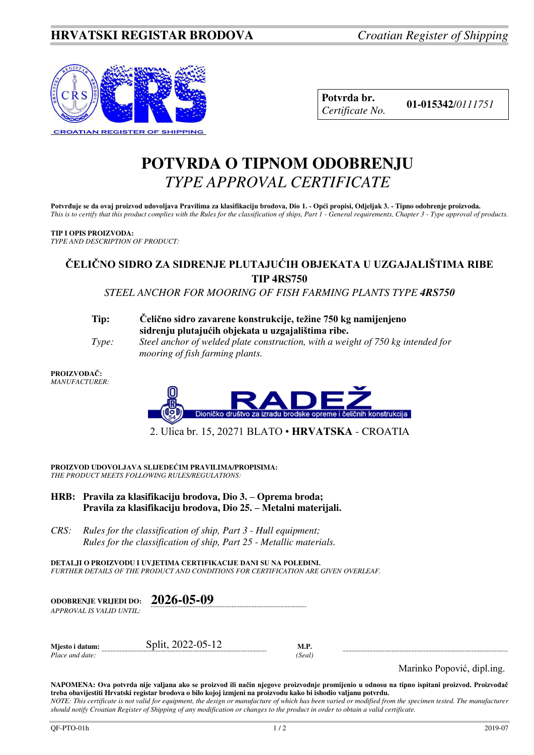

| Potvrda br.     |
|-----------------|
| Certificate No. |

**Potvrda br. 01-015342**/*<sup>0111751</sup> Certificate No.* 

# **POTVRDA O TIPNOM ODOBRENJU**  *TYPE APPROVAL CERTIFICATE*

**Potvrđuje se da ovaj proizvod udovoljava Pravilima za klasifikaciju brodova, Dio 1. - Opći propisi, Odjeljak 3. - Tipno odobrenje proizvoda.**  *This is to certify that this product complies with the Rules for the classification of ships, Part 1 - General requirements, Chapter 3 - Type approval of products.* 

#### **TIP I OPIS PROIZVODA:**

*TYPE AND DESCRIPTION OF PRODUCT:* 

## **ČELIČNO SIDRO ZA SIDRENJE PLUTAJUĆIH OBJEKATA U UZGAJALIŠTIMA RIBE TIP 4RS750**

*STEEL ANCHOR FOR MOORING OF FISH FARMING PLANTS TYPE 4RS750* 

#### **Tip: Čelično sidro zavarene konstrukcije, težine 750 kg namijenjeno sidrenju plutajućih objekata u uzgajalištima ribe.**

 *Type: Steel anchor of welded plate construction, with a weight of 750 kg intended for mooring of fish farming plants.* 

#### **PROIZVOĐAČ:** *MANUFACTURER:*



2. Ulica br. 15, 20271 BLATO • **HRVATSKA** - CROATIA

**PROIZVOD UDOVOLJAVA SLIJEDEĆIM PRAVILIMA/PROPISIMA:** *THE PRODUCT MEETS FOLLOWING RULES/REGULATIONS:* 

- **HRB: Pravila za klasifikaciju brodova, Dio 3. – Oprema broda; Pravila za klasifikaciju brodova, Dio 25. – Metalni materijali.**
- *CRS: Rules for the classification of ship, Part 3 Hull equipment; Rules for the classification of ship, Part 25 - Metallic materials.*

**DETALJI O PROIZVODU I UVJETIMA CERTIFIKACIJE DANI SU NA POLEĐINI.** *FURTHER DETAILS OF THE PRODUCT AND CONDITIONS FOR CERTIFICATION ARE GIVEN OVERLEAF.* 

| <b>ODOBRENJE VRLJEDI DO:</b> | 2026-05-09 |
|------------------------------|------------|
| APPROVAL IS VALID UNTIL:     |            |

| Mjesto i datum: | 2022-05-12<br>Split. | M.F  |
|-----------------|----------------------|------|
| Place and date: |                      | Seal |

Marinko Popović, dipl.ing.

**NAPOMENA: Ova potvrda nije valjana ako se proizvod ili način njegove proizvodnje promijenio u odnosu na tipno ispitani proizvod. Proizvođač treba obavijestiti Hrvatski registar brodova o bilo kojoj izmjeni na proizvodu kako bi ishodio valjanu potvrdu.**  *NOTE: This certificate is not valid for equipment, the design or manufacture of which has been varied or modified from the specimen tested. The manufacturer should notify Croatian Register of Shipping of any modification or changes to the product in order to obtain a valid certificate.*